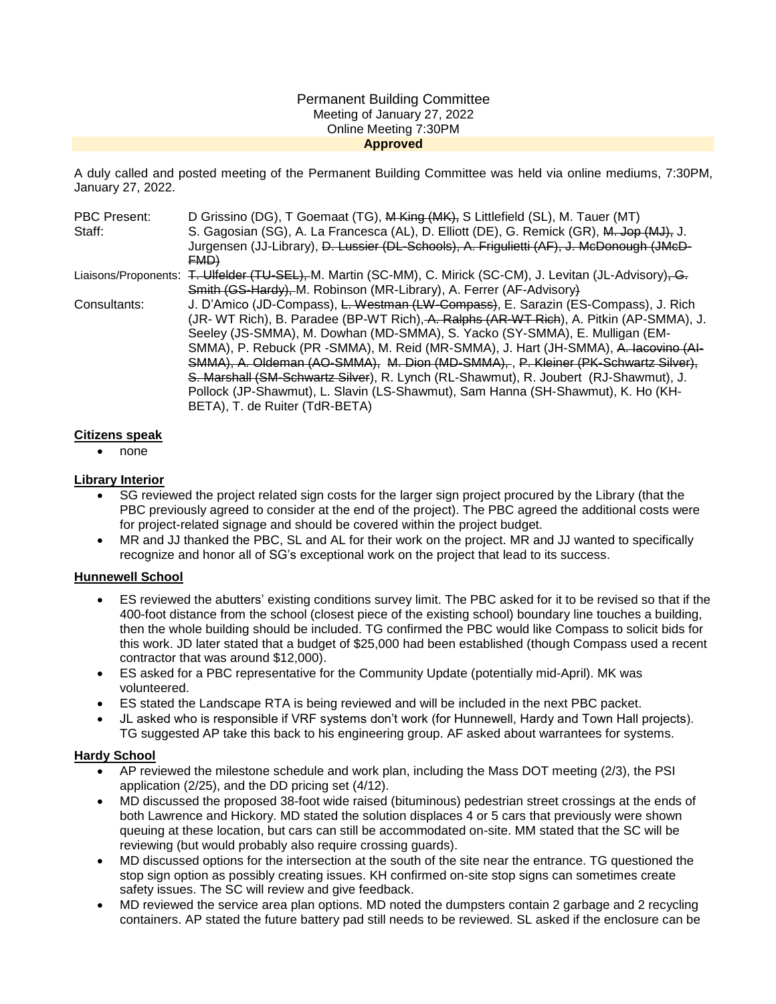#### Permanent Building Committee Meeting of January 27, 2022 Online Meeting 7:30PM **Approved**

A duly called and posted meeting of the Permanent Building Committee was held via online mediums, 7:30PM, January 27, 2022.

| PBC Present: | D Grissino (DG), T Goemaat (TG), M King (MK), S Littlefield (SL), M. Tauer (MT)                               |
|--------------|---------------------------------------------------------------------------------------------------------------|
| Staff:       | S. Gagosian (SG), A. La Francesca (AL), D. Elliott (DE), G. Remick (GR), M. Jop (MJ), J.                      |
|              | Jurgensen (JJ-Library), D. Lussier (DL-Schools), A. Frigulietti (AF), J. McDonough (JMcD-                     |
|              | FMD                                                                                                           |
|              | Liaisons/Proponents: T. Ulfelder (TU-SEL), M. Martin (SC-MM), C. Mirick (SC-CM), J. Levitan (JL-Advisory), G. |
|              | Smith (GS-Hardy), M. Robinson (MR-Library), A. Ferrer (AF-Advisory)                                           |
| Consultants: | J. D'Amico (JD-Compass), L. Westman (LW-Compass), E. Sarazin (ES-Compass), J. Rich                            |
|              | (JR- WT Rich), B. Paradee (BP-WT Rich), A. Ralphs (AR-WT Rich), A. Pitkin (AP-SMMA), J.                       |
|              | Seeley (JS-SMMA), M. Dowhan (MD-SMMA), S. Yacko (SY-SMMA), E. Mulligan (EM-                                   |
|              | SMMA), P. Rebuck (PR -SMMA), M. Reid (MR-SMMA), J. Hart (JH-SMMA), A. Iacovino (AI-                           |
|              | SMMA), A. Oldeman (AO-SMMA), M. Dion (MD-SMMA), P. Kleiner (PK-Schwartz Silver),                              |
|              | S. Marshall (SM-Schwartz Silver), R. Lynch (RL-Shawmut), R. Joubert (RJ-Shawmut), J.                          |
|              | Pollock (JP-Shawmut), L. Slavin (LS-Shawmut), Sam Hanna (SH-Shawmut), K. Ho (KH-                              |
|              | BETA), T. de Ruiter (TdR-BETA)                                                                                |

### **Citizens speak**

none

### **Library Interior**

- SG reviewed the project related sign costs for the larger sign project procured by the Library (that the PBC previously agreed to consider at the end of the project). The PBC agreed the additional costs were for project-related signage and should be covered within the project budget.
- MR and JJ thanked the PBC, SL and AL for their work on the project. MR and JJ wanted to specifically recognize and honor all of SG's exceptional work on the project that lead to its success.

# **Hunnewell School**

- ES reviewed the abutters' existing conditions survey limit. The PBC asked for it to be revised so that if the 400-foot distance from the school (closest piece of the existing school) boundary line touches a building, then the whole building should be included. TG confirmed the PBC would like Compass to solicit bids for this work. JD later stated that a budget of \$25,000 had been established (though Compass used a recent contractor that was around \$12,000).
- ES asked for a PBC representative for the Community Update (potentially mid-April). MK was volunteered.
- ES stated the Landscape RTA is being reviewed and will be included in the next PBC packet.
- JL asked who is responsible if VRF systems don't work (for Hunnewell, Hardy and Town Hall projects). TG suggested AP take this back to his engineering group. AF asked about warrantees for systems.

#### **Hardy School**

- AP reviewed the milestone schedule and work plan, including the Mass DOT meeting (2/3), the PSI application (2/25), and the DD pricing set (4/12).
- MD discussed the proposed 38-foot wide raised (bituminous) pedestrian street crossings at the ends of both Lawrence and Hickory. MD stated the solution displaces 4 or 5 cars that previously were shown queuing at these location, but cars can still be accommodated on-site. MM stated that the SC will be reviewing (but would probably also require crossing guards).
- MD discussed options for the intersection at the south of the site near the entrance. TG questioned the stop sign option as possibly creating issues. KH confirmed on-site stop signs can sometimes create safety issues. The SC will review and give feedback.
- MD reviewed the service area plan options. MD noted the dumpsters contain 2 garbage and 2 recycling containers. AP stated the future battery pad still needs to be reviewed. SL asked if the enclosure can be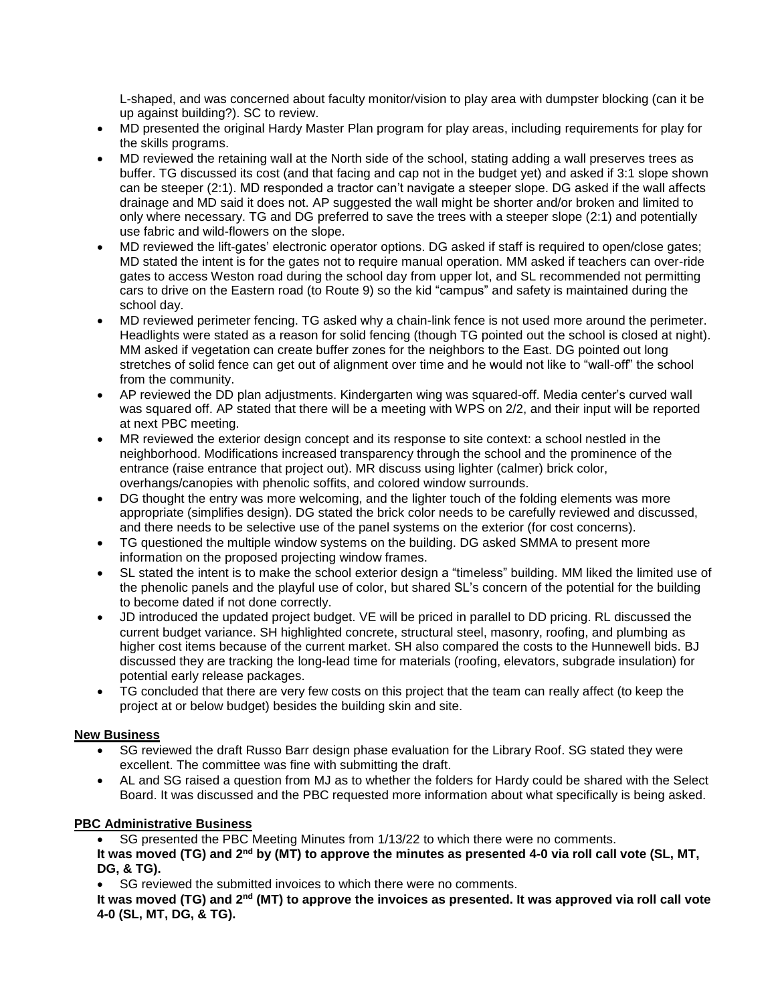L-shaped, and was concerned about faculty monitor/vision to play area with dumpster blocking (can it be up against building?). SC to review.

- MD presented the original Hardy Master Plan program for play areas, including requirements for play for the skills programs.
- MD reviewed the retaining wall at the North side of the school, stating adding a wall preserves trees as buffer. TG discussed its cost (and that facing and cap not in the budget yet) and asked if 3:1 slope shown can be steeper (2:1). MD responded a tractor can't navigate a steeper slope. DG asked if the wall affects drainage and MD said it does not. AP suggested the wall might be shorter and/or broken and limited to only where necessary. TG and DG preferred to save the trees with a steeper slope (2:1) and potentially use fabric and wild-flowers on the slope.
- MD reviewed the lift-gates' electronic operator options. DG asked if staff is required to open/close gates; MD stated the intent is for the gates not to require manual operation. MM asked if teachers can over-ride gates to access Weston road during the school day from upper lot, and SL recommended not permitting cars to drive on the Eastern road (to Route 9) so the kid "campus" and safety is maintained during the school day.
- MD reviewed perimeter fencing. TG asked why a chain-link fence is not used more around the perimeter. Headlights were stated as a reason for solid fencing (though TG pointed out the school is closed at night). MM asked if vegetation can create buffer zones for the neighbors to the East. DG pointed out long stretches of solid fence can get out of alignment over time and he would not like to "wall-off" the school from the community.
- AP reviewed the DD plan adjustments. Kindergarten wing was squared-off. Media center's curved wall was squared off. AP stated that there will be a meeting with WPS on 2/2, and their input will be reported at next PBC meeting.
- MR reviewed the exterior design concept and its response to site context: a school nestled in the neighborhood. Modifications increased transparency through the school and the prominence of the entrance (raise entrance that project out). MR discuss using lighter (calmer) brick color, overhangs/canopies with phenolic soffits, and colored window surrounds.
- DG thought the entry was more welcoming, and the lighter touch of the folding elements was more appropriate (simplifies design). DG stated the brick color needs to be carefully reviewed and discussed, and there needs to be selective use of the panel systems on the exterior (for cost concerns).
- TG questioned the multiple window systems on the building. DG asked SMMA to present more information on the proposed projecting window frames.
- SL stated the intent is to make the school exterior design a "timeless" building. MM liked the limited use of the phenolic panels and the playful use of color, but shared SL's concern of the potential for the building to become dated if not done correctly.
- JD introduced the updated project budget. VE will be priced in parallel to DD pricing. RL discussed the current budget variance. SH highlighted concrete, structural steel, masonry, roofing, and plumbing as higher cost items because of the current market. SH also compared the costs to the Hunnewell bids. BJ discussed they are tracking the long-lead time for materials (roofing, elevators, subgrade insulation) for potential early release packages.
- TG concluded that there are very few costs on this project that the team can really affect (to keep the project at or below budget) besides the building skin and site.

# **New Business**

- SG reviewed the draft Russo Barr design phase evaluation for the Library Roof. SG stated they were excellent. The committee was fine with submitting the draft.
- AL and SG raised a question from MJ as to whether the folders for Hardy could be shared with the Select Board. It was discussed and the PBC requested more information about what specifically is being asked.

# **PBC Administrative Business**

SG presented the PBC Meeting Minutes from 1/13/22 to which there were no comments.

**It was moved (TG) and 2nd by (MT) to approve the minutes as presented 4-0 via roll call vote (SL, MT, DG, & TG).**

SG reviewed the submitted invoices to which there were no comments.

**It was moved (TG) and 2nd (MT) to approve the invoices as presented. It was approved via roll call vote 4-0 (SL, MT, DG, & TG).**